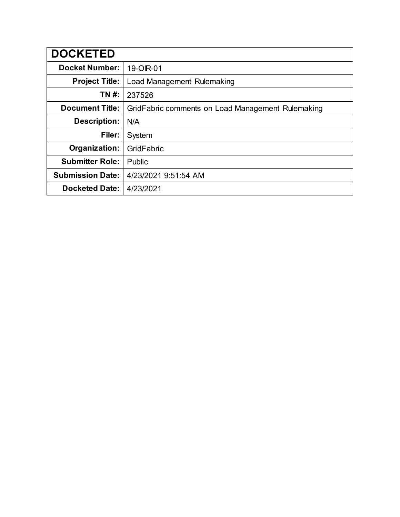| <b>DOCKETED</b>         |                                                   |
|-------------------------|---------------------------------------------------|
| <b>Docket Number:</b>   | 19-OIR-01                                         |
| <b>Project Title:</b>   | Load Management Rulemaking                        |
| TN #:                   | 237526                                            |
| <b>Document Title:</b>  | GridFabric comments on Load Management Rulemaking |
| Description:            | N/A                                               |
| Filer:                  | System                                            |
| Organization:           | GridFabric                                        |
| <b>Submitter Role:</b>  | Public                                            |
| <b>Submission Date:</b> | 4/23/2021 9:51:54 AM                              |
| <b>Docketed Date:</b>   | 4/23/2021                                         |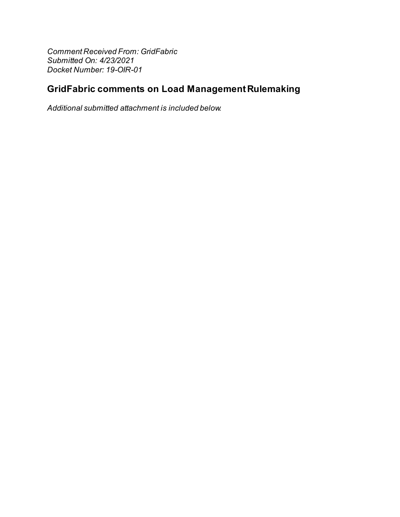**Comment Received From: GridFabric** Submitted On: 4/23/2021 Docket Number: 19-OIR-01

## **GridFabric comments on Load Management Rulemaking**

Additional submitted attachment is included below.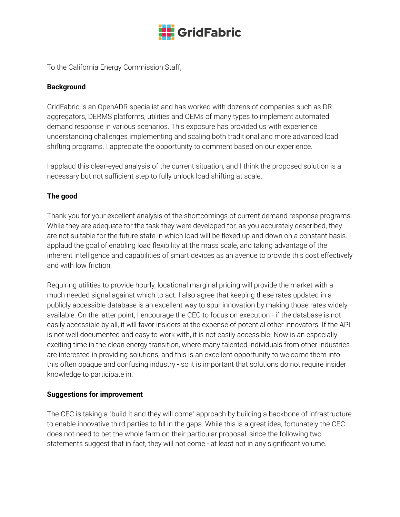

To the California Energy Commission Staff,

## **Background**

GridFabric is an OpenADR specialist and has worked with dozens of companies such as DR aggregators, DERMS platforms, utilities and OEMs of many types to implement automated demand response in various scenarios. This exposure has provided us with experience understanding challenges implementing and scaling both traditional and more advanced load shifting programs. I appreciate the opportunity to comment based on our experience.

I applaud this clear-eyed analysis of the current situation, and I think the proposed solution is a necessary but not sufficient step to fully unlock load shifting at scale.

## **The good**

Thank you for your excellent analysis of the shortcomings of current demand response programs. While they are adequate for the task they were developed for, as you accurately described, they are not suitable for the future state in which load will be flexed up and down on a constant basis. I applaud the goal of enabling load flexibility at the mass scale, and taking advantage of the inherent intelligence and capabilities of smart devices as an avenue to provide this cost effectively and with low friction.

Requiring utilities to provide hourly, locational marginal pricing will provide the market with a much needed signal against which to act. I also agree that keeping these rates updated in a publicly accessible database is an excellent way to spur innovation by making those rates widely available. On the latter point, I encourage the CEC to focus on execution - if the database is not easily accessible by all, it will favor insiders at the expense of potential other innovators. If the API is not well documented and easy to work with, it is not easily accessible. Now is an especially exciting time in the clean energy transition, where many talented individuals from other industries are interested in providing solutions, and this is an excellent opportunity to welcome them into this often opaque and confusing industry - so it is important that solutions do not require insider knowledge to participate in.

## **Suggestions for improvement**

The CEC is taking a "build it and they will come" approach by building a backbone of infrastructure to enable innovative third parties to fill in the gaps. While this is a great idea, fortunately the CEC does not need to bet the whole farm on their particular proposal, since the following two statements suggest that in fact, they will not come - at least not in any significant volume.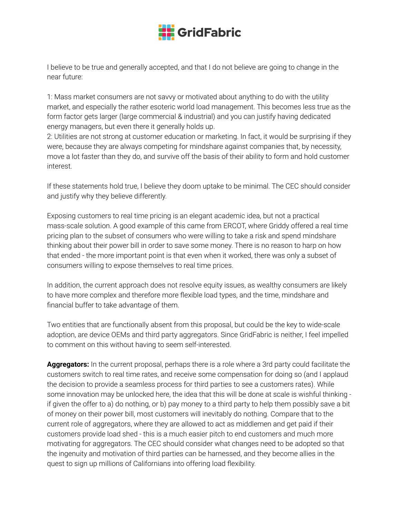

I believe to be true and generally accepted, and that I do not believe are going to change in the near future:

1: Mass market consumers are not savvy or motivated about anything to do with the utility market, and especially the rather esoteric world load management. This becomes less true as the form factor gets larger (large commercial & industrial) and you can justify having dedicated energy managers, but even there it generally holds up.

2: Utilities are not strong at customer education or marketing. In fact, it would be surprising if they were, because they are always competing for mindshare against companies that, by necessity, move a lot faster than they do, and survive off the basis of their ability to form and hold customer interest.

If these statements hold true, I believe they doom uptake to be minimal. The CEC should consider and justify why they believe differently.

Exposing customers to real time pricing is an elegant academic idea, but not a practical mass-scale solution. A good example of this came from ERCOT, where Griddy offered a real time pricing plan to the subset of consumers who were willing to take a risk and spend mindshare thinking about their power bill in order to save some money. There is no reason to harp on how that ended - the more important point is that even when it worked, there was only a subset of consumers willing to expose themselves to real time prices.

In addition, the current approach does not resolve equity issues, as wealthy consumers are likely to have more complex and therefore more flexible load types, and the time, mindshare and financial buffer to take advantage of them.

Two entities that are functionally absent from this proposal, but could be the key to wide-scale adoption, are device OEMs and third party aggregators. Since GridFabric is neither, I feel impelled to comment on this without having to seem self-interested.

**Aggregators:** In the current proposal, perhaps there is a role where a 3rd party could facilitate the customers switch to real time rates, and receive some compensation for doing so (and I applaud the decision to provide a seamless process for third parties to see a customers rates). While some innovation may be unlocked here, the idea that this will be done at scale is wishful thinking if given the offer to a) do nothing, or b) pay money to a third party to help them possibly save a bit of money on their power bill, most customers will inevitably do nothing. Compare that to the current role of aggregators, where they are allowed to act as middlemen and get paid if their customers provide load shed - this is a much easier pitch to end customers and much more motivating for aggregators. The CEC should consider what changes need to be adopted so that the ingenuity and motivation of third parties can be harnessed, and they become allies in the quest to sign up millions of Californians into offering load flexibility.